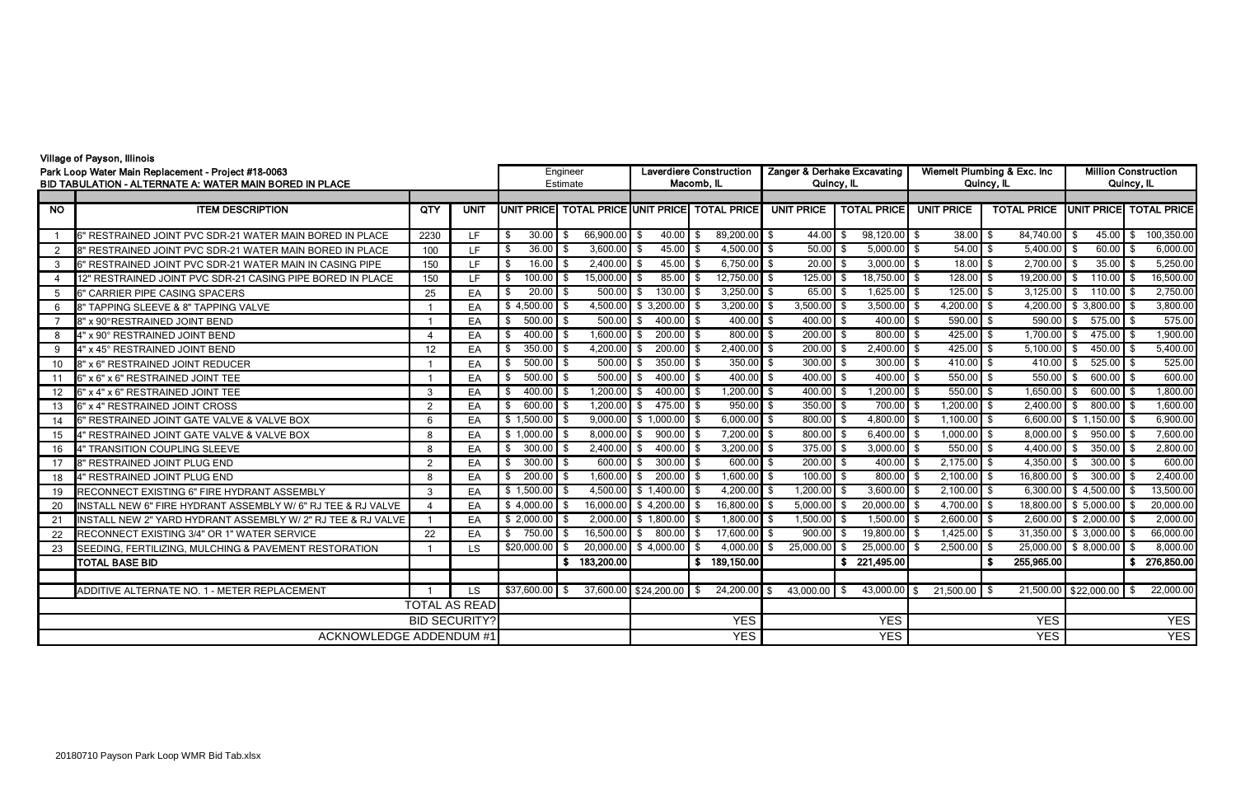## Village of Payson, Illinois

| villay <del>o</del> vi r ayəvil, illilivlə<br>Park Loop Water Main Replacement - Project #18-0063<br>BID TABULATION - ALTERNATE A: WATER MAIN BORED IN PLACE |                                                              |               |             |                    | Engineer<br>Estimate          |                                       | <b>Laverdiere Construction</b><br>Macomb, IL | Zanger & Derhake Excavating<br>Quincy, IL |                                |                          | Wiemelt Plumbing & Exc. Inc<br>Quincy, IL | <b>Million Construction</b><br>Quincy, IL |                    |  |  |
|--------------------------------------------------------------------------------------------------------------------------------------------------------------|--------------------------------------------------------------|---------------|-------------|--------------------|-------------------------------|---------------------------------------|----------------------------------------------|-------------------------------------------|--------------------------------|--------------------------|-------------------------------------------|-------------------------------------------|--------------------|--|--|
|                                                                                                                                                              |                                                              |               |             |                    |                               |                                       |                                              |                                           |                                |                          |                                           |                                           |                    |  |  |
| $\overline{NQ}$                                                                                                                                              | <b>ITEM DESCRIPTION</b>                                      | QTY           | <b>UNIT</b> | <b>JUNIT PRICE</b> | <b>TOTAL PRICE UNIT PRICE</b> |                                       | <b>TOTAL PRICE</b>                           | <b>UNIT PRICE</b>                         | <b>TOTAL PRICE</b>             | <b>UNIT PRICE</b>        | <b>TOTAL PRICE</b>                        | <b>UNIT PRICE</b>                         | <b>TOTAL PRICE</b> |  |  |
|                                                                                                                                                              | 6" RESTRAINED JOINT PVC SDR-21 WATER MAIN BORED IN PLACE     | 2230          | LF.         | 30.00<br>\$        | 66,900.00 \$<br>- \$          | $40.00$ \$                            | 89,200.00 \$                                 | 44.00                                     | $98,120.00$ \$<br>-\$          | $38.00$ \$               | 84,740.00 \$                              | $45.00$ \$                                | 100,350.00         |  |  |
| $\overline{2}$                                                                                                                                               | 8" RESTRAINED JOINT PVC SDR-21 WATER MAIN BORED IN PLACE     | 100           | LF          | $36.00$ \$<br>\$   | $3,600.00$ \$                 | $45.00$ \$                            | $4,500.00$ \$                                | 50.00                                     | $5,000.00$ \$<br>- \$          | $54.00$ \$               | $5,400.00$ \$                             | $60.00$ \$                                | 6,000.00           |  |  |
| -3                                                                                                                                                           | 6" RESTRAINED JOINT PVC SDR-21 WATER MAIN IN CASING PIPE     | 150           | LF          | 16.00<br>- \$      | $2,400.00$ \$<br>- \$         | 45.00                                 | $6,750.00$ \$<br>- \$                        | 20.00                                     | $3,000.00$ \$<br>-\$           | $18.00$ \$               | $2,700.00$ \$                             | 35.00                                     | 5,250.00           |  |  |
|                                                                                                                                                              | 12" RESTRAINED JOINT PVC SDR-21 CASING PIPE BORED IN PLACE   | 150           | LF          | 100.00<br>\$       | 15,000.00 \$<br>- \$          | 85.00                                 | 12,750.00 \$<br>- \$                         | 125.00                                    | 18,750.00 \$<br>-\$            | $128.00$ \$              | 19,200.00                                 | \$<br>110.00                              | 16,500.00          |  |  |
| 5                                                                                                                                                            | 6" CARRIER PIPE CASING SPACERS                               | 25            | EA          | $20.00$ \$<br>-\$  | $500.00$ \$                   | $130.00$ \$                           | $3,250.00$ \$                                | $65.00$ \$                                | $1,625.00$ \$                  | $125.00$ \$              | $3,125.00$ \$                             | $110.00$ \$                               | 2,750.00           |  |  |
| 6                                                                                                                                                            | 8" TAPPING SLEEVE & 8" TAPPING VALVE                         |               | EA          | \$4,500.00         | - \$                          | 4,500.00 \$ 3,200.00 \$               | $3,200.00$ \$                                | 3,500.00                                  | $3,500.00$ \$<br>-\$           | $4,200.00$ \$            |                                           | 4,200.00 \$ 3,800.00                      | 3,800.00           |  |  |
|                                                                                                                                                              | 8" x 90°RESTRAINED JOINT BEND                                |               | EA          | $500.00$ \$<br>\$  | $500.00$ \$                   | $400.00$ \$                           | $400.00$ \$                                  | $400.00$ \$                               | $400.00$ \$                    | $590.00$ \$              | $590.00$ \$                               | $575.00$ \$                               | 575.00             |  |  |
| 8                                                                                                                                                            | 4" x 90° RESTRAINED JOINT BEND                               |               | EA          | $400.00$ \$<br>\$  | $1,600.00$ \$                 | $200.00$ \$                           | $800.00$ \$                                  | $200.00$ \$                               | $800.00$ \$                    | $425.00$ \$              | $1,700.00$ \$                             | $475.00$ \$                               | 1,900.00           |  |  |
| -9                                                                                                                                                           | 4" x 45° RESTRAINED JOINT BEND                               | 12            | EA          | 350.00<br>\$       | 4,200.00<br><b>\$</b>         | $200.00$ \$<br>- \$                   | $2,400.00$ \$                                | $200.00$ \$                               | $2,400.00$ \$                  | $425.00$ \$              | $5,100.00$ \$                             | $450.00$ \$                               | 5,400.00           |  |  |
| 10                                                                                                                                                           | 8" x 6" RESTRAINED JOINT REDUCER                             |               | EA          | $500.00$ \$<br>\$  | $500.00$ \$                   | $350.00$ \$                           | $350.00$ \$                                  | $300.00$ \$                               | $300.00$ \$                    | 410.00 $$$               | 410.00                                    | $525.00$ \$<br>- \$                       | 525.00             |  |  |
| 11                                                                                                                                                           | 6" x 6" x 6" RESTRAINED JOINT TEE                            |               | EA          | $500.00$ \$<br>\$  | 500.00                        | $400.00$ \$<br>- \$                   | $400.00$ \$                                  | $400.00$ \$                               | $400.00$ \$                    | $550.00$ \$              | 550.00                                    | $600.00$ \$                               | 600.00             |  |  |
| 12                                                                                                                                                           | 6" x 4" x 6" RESTRAINED JOINT TEE                            | 3             | EA          | 400.00<br>\$       | $1,200.00$ \$<br>- \$         | $400.00$ \$                           | $1,200.00$ \$                                | 400.00                                    | $1,200.00$ \$<br>-\$           | $550.00$ \$              | $1,650.00$ \$                             | $600.00$ \$                               | 1,800.00           |  |  |
| 13                                                                                                                                                           | 6" x 4" RESTRAINED JOINT CROSS                               | $\mathcal{P}$ | EA          | 600.00<br>- \$     | $1,200.00$ \$<br>- \$         | $475.00$ \$                           | $950.00$ \$                                  | 350.00                                    | $700.00$ \$<br>- \$            | $1,200.00$ \$            | $2,400.00$ \$                             | $800.00$ \$                               | 1,600.00           |  |  |
| 14                                                                                                                                                           | 6" RESTRAINED JOINT GATE VALVE & VALVE BOX                   | 6             | EA          | \$1,500.00         | -\$                           | $9,000.00$ \$ 1,000.00 \$             | $6,000.00$ \$                                | 800.00                                    | $4,800.00$ \$<br>-\$           | $\overline{1,100.00}$ \$ |                                           | 6,600.00 \$ 1,150.00                      | 6,900.00           |  |  |
| 15                                                                                                                                                           | 4" RESTRAINED JOINT GATE VALVE & VALVE BOX                   | 8             | EA          | $$1,000.00$ \$     | $8,000.00$ \$                 | $900.00$ \$                           | $7,200.00$ \$                                | 800.00                                    | $6,400.00$ \$<br>- \$          | $1,000.00$ \$            | $8,000.00$ \$                             | $950.00$ \$                               | 7,600.00           |  |  |
| 16                                                                                                                                                           | 4" TRANSITION COUPLING SLEEVE                                | 8             | EA          | 300.00<br>\$       | 2,400.00<br>∣\$               | $400.00$ \$<br>- \$                   | $3,200.00$ \$                                | 375.00                                    | $3,000.00$ \$<br>-\$           | $550.00$ \$              | 4,400.00                                  | $350.00$ \$<br>- \$                       | 2,800.00           |  |  |
| 17                                                                                                                                                           | 8" RESTRAINED JOINT PLUG END                                 | 2             | EA          | $300.00$ \$<br>\$  | $600.00$ \$                   | $300.00$ \$                           | $600.00$ \$                                  | $200.00$ \$                               | $400.00$ \$                    | $2,175.00$ \$            | 4,350.00                                  | $300.00$ \$<br>-\$                        | 600.00             |  |  |
| 18                                                                                                                                                           | 4" RESTRAINED JOINT PLUG END                                 | 8             | EA          | 200.00<br>\$       | $1,600.00$ \$<br>- \$         | $200.00$ \$                           | $1,600.00$ \$                                | 100.00                                    | $800.00$ \$<br>- \$            | $2,100.00$ \$            | 16,800.00 \$                              | $300.00$ \$                               | 2,400.00           |  |  |
| 19                                                                                                                                                           | RECONNECT EXISTING 6" FIRE HYDRANT ASSEMBLY                  | 3             | EA          | $$1,500.00$ \$     |                               | 4,500.00 \$ 1,400.00 \$               | $4,200.00$ \$                                | $1,200.00$ \$                             | $3,600.00$ \$                  | $2,100.00$ \$            |                                           | 6,300.00 $$4,500.00$ \$                   | 13,500.00          |  |  |
| 20                                                                                                                                                           | INSTALL NEW 6" FIRE HYDRANT ASSEMBLY W/ 6" RJ TEE & RJ VALVE |               | EA          | \$4,000.00         | - \$                          | 16,000.00 \$4,200.00 \$               | $16,800.00$ \$                               | 5,000.00                                  | $\boxed{20,000.00}$ \$<br>- \$ | $4,700.00$ \$            |                                           | 18,800.00 \$ 5,000.00                     | 20,000.00<br>∣\$   |  |  |
| 21                                                                                                                                                           | INSTALL NEW 2" YARD HYDRANT ASSEMBLY W/ 2" RJ TEE & RJ VALVE |               | EA          | \$2,000.00         | - \$                          | $2,000.00$ \$ 1,800.00 \$             | $1,800.00$ \$                                | 1,500.00                                  | $1,500.00$ \$<br>-\$           | $2,600.00$ \$            |                                           | $2,600.00$ \$ 2,000.00 \$                 | 2,000.00           |  |  |
| 22                                                                                                                                                           | RECONNECT EXISTING 3/4" OR 1" WATER SERVICE                  | 22            | EA          | 750.00<br>\$       | 16,500.00<br>-\$              | $800.00$ \$<br>\$                     | 17,600.00 \$                                 | 900.00                                    | 19,800.00 \$<br>-\$            | $1,425.00$ \$            |                                           | $31,350.00$ \$ 3,000.00 \$                | 66,000.00          |  |  |
| 23                                                                                                                                                           | SEEDING, FERTILIZING, MULCHING & PAVEMENT RESTORATION        |               | LS.         | \$20,000.00        | - \$                          | 20,000.00 \$4,000.00                  | $4,000.00$ \$<br>- \$                        | 25,000.00                                 | $25,000.00$ \$                 | $2,500.00$ \$            |                                           | 25,000.00 \$ 8,000.00                     | 8,000.00           |  |  |
|                                                                                                                                                              | <b>TOTAL BASE BID</b>                                        |               |             |                    | 183,200.00<br>\$              |                                       | 189,150.00<br>$\mathbf{s}$                   |                                           | 221,495.00<br>S.               |                          | S.<br>255,965.00                          |                                           | 276,850.00<br>\$   |  |  |
|                                                                                                                                                              |                                                              |               |             |                    |                               |                                       |                                              |                                           |                                |                          |                                           |                                           |                    |  |  |
|                                                                                                                                                              | ADDITIVE ALTERNATE NO. 1 - METER REPLACEMENT                 |               | <b>LS</b>   | $$37,600.00$ \$    |                               | $\overline{37,600.00}$ \$24,200.00 \$ | $24,200.00$ \$                               | 43,000.00                                 | 43,000.00 \$<br>\$             | $21,500.00$ \$           | 21,500.00                                 | \$22,000.00                               | 22,000.00          |  |  |
|                                                                                                                                                              | <b>TOTAL AS READ</b>                                         |               |             |                    |                               |                                       |                                              |                                           |                                |                          |                                           |                                           |                    |  |  |
| <b>BID SECURITY?</b>                                                                                                                                         |                                                              |               |             |                    |                               |                                       | <b>YES</b>                                   |                                           | <b>YES</b>                     |                          | <b>YES</b>                                | <b>YES</b>                                |                    |  |  |
| <b>ACKNOWLEDGE ADDENDUM #1</b>                                                                                                                               |                                                              |               |             |                    |                               |                                       | <b>YES</b>                                   |                                           | <b>YES</b>                     |                          | <b>YES</b>                                | <b>YES</b>                                |                    |  |  |